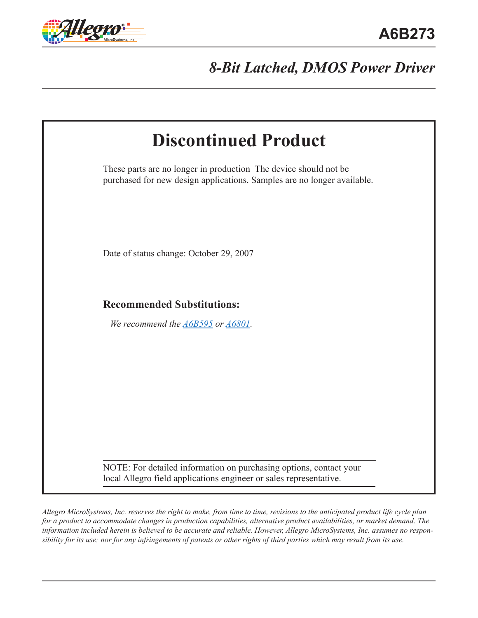

# *8-Bit Latched, DMOS Power Driver*

| <b>Discontinued Product</b>                                                                                                                 |
|---------------------------------------------------------------------------------------------------------------------------------------------|
| These parts are no longer in production The device should not be<br>purchased for new design applications. Samples are no longer available. |
| Date of status change: October 29, 2007                                                                                                     |
| <b>Recommended Substitutions:</b>                                                                                                           |
| We recommend the <b>A6B595</b> or <b>A6801</b> .                                                                                            |
|                                                                                                                                             |
|                                                                                                                                             |
|                                                                                                                                             |

*Allegro MicroSystems, Inc. reserves the right to make, from time to time, revisions to the anticipated product life cycle plan for a product to accommodate changes in production capabilities, alternative product availabilities, or market demand. The information included herein is believed to be accurate and reliable. However, Allegro MicroSystems, Inc. assumes no responsibility for its use; nor for any infringements of patents or other rights of third parties which may result from its use.*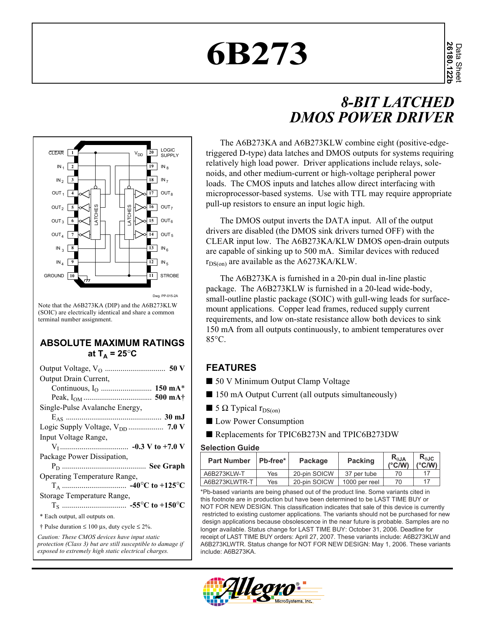# **6B273**

# *8-BIT LATCHED DMOS POWER DRIVER*



Note that the A6B273KA (DIP) and the A6B273KLW (SOIC) are electrically identical and share a common terminal number assignment.

#### **ABSOLUTE MAXIMUM RATINGS** at  $T_A = 25^\circ \text{C}$

| Output Drain Current,                                                                                        |
|--------------------------------------------------------------------------------------------------------------|
|                                                                                                              |
|                                                                                                              |
| Single-Pulse Avalanche Energy,                                                                               |
|                                                                                                              |
|                                                                                                              |
| Input Voltage Range,                                                                                         |
|                                                                                                              |
| Package Power Dissipation,                                                                                   |
|                                                                                                              |
| Operating Temperature Range,                                                                                 |
|                                                                                                              |
| Storage Temperature Range,                                                                                   |
|                                                                                                              |
| * Each output, all outputs on.                                                                               |
| † Pulse duration $\leq 100$ µs, duty cycle $\leq 2\%$ .                                                      |
| Caution: These CMOS devices have input static<br>protection (Class 3) but are still susceptible to damage if |

*exposed to extremely high static electrical charges.*

The A6B273KA and A6B273KLW combine eight (positive-edgetriggered D-type) data latches and DMOS outputs for systems requiring relatively high load power. Driver applications include relays, solenoids, and other medium-current or high-voltage peripheral power loads. The CMOS inputs and latches allow direct interfacing with microprocessor-based systems. Use with TTL may require appropriate pull-up resistors to ensure an input logic high.

The DMOS output inverts the DATA input. All of the output drivers are disabled (the DMOS sink drivers turned OFF) with the CLEAR input low. The A6B273KA/KLW DMOS open-drain outputs are capable of sinking up to 500 mA. Similar devices with reduced  $r_{DS(0)}$  are available as the A6273KA/KLW.

The A6B273KA is furnished in a 20-pin dual in-line plastic package. The A6B273KLW is furnished in a 20-lead wide-body, small-outline plastic package (SOIC) with gull-wing leads for surfacemount applications. Copper lead frames, reduced supply current requirements, and low on-state resistance allow both devices to sink 150 mA from all outputs continuously, to ambient temperatures over 85°C.

#### **FEATURES**

- 50 V Minimum Output Clamp Voltage
- 150 mA Output Current (all outputs simultaneously)
- $\blacksquare$  5  $\Omega$  Typical  $r_{DS(on)}$
- Low Power Consumption
- Replacements for TPIC6B273N and TPIC6B273DW

#### **Selection Guide**

| <b>Part Number</b> | ∣ Pb-free* ∣ | Package      | <b>Packing</b> | $R_{\theta$ JA<br>$(^{\circ}C/W)$ | $R_{\theta \text{JC}}$<br>$(^{\circ}$ C/W) |
|--------------------|--------------|--------------|----------------|-----------------------------------|--------------------------------------------|
| A6B273KLW-T        | Yes          | 20-pin SOICW | 37 per tube    | 70                                | 17                                         |
| A6B273KLWTR-T      | Yes          | 20-pin SOICW | 1000 per reel  | 70                                | 17                                         |

\*Pb-based variants are being phased out of the product line. Some variants cited in this footnote are in production but have been determined to be LAST TIME BUY or NOT FOR NEW DESIGN. This classification indicates that sale of this device is currently restricted to existing customer applications. The variants should not be purchased for new design applications because obsolescence in the near future is probable. Samples are no longer available. Status change for LAST TIME BUY: October 31, 2006. Deadline for receipt of LAST TIME BUY orders: April 27, 2007. These variants include: A6B273KLW and A6B273KLWTR. Status change for NOT FOR NEW DESIGN: May 1, 2006. These variants include: A6B273KA.

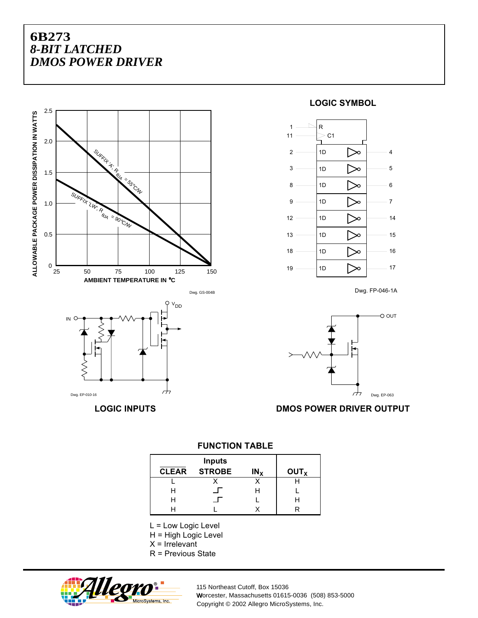



#### **LOGIC SYMBOL**



Dwg. FP-046-1A



**LOGIC INPUTS DMOS POWER DRIVER OUTPUT**

| <b>CLEAR</b> | <b>Inputs</b><br><b>STROBE</b> | IN <sub>X</sub> | OUT <sub>x</sub> |
|--------------|--------------------------------|-----------------|------------------|
|              |                                |                 |                  |
| н            |                                |                 |                  |
|              |                                |                 |                  |
|              |                                |                 |                  |

**FUNCTION TABLE**

L = Low Logic Level

H = High Logic Level

 $X = I$ rrelevant

R = Previous State



115 Northeast Cutoff, Box 15036 Worcester, Massachusetts 01615-0036 (508) 853-5000 W Copyright © 2002 Allegro MicroSystems, Inc.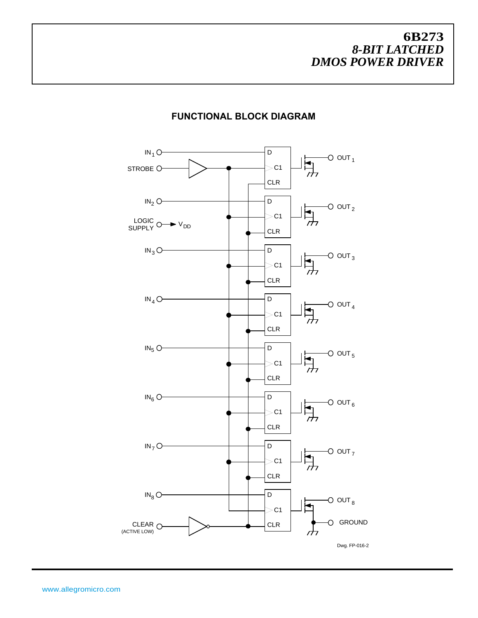

#### **FUNCTIONAL BLOCK DIAGRAM**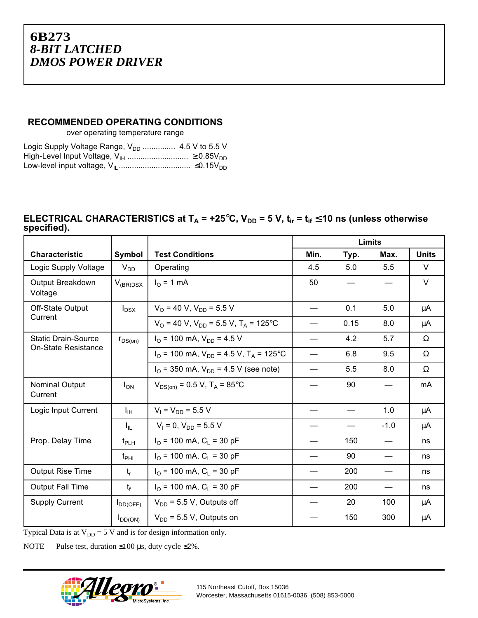#### **RECOMMENDED OPERATING CONDITIONS**

over operating temperature range

| Logic Supply Voltage Range, $V_{DD}$ 4.5 V to 5.5 V |  |
|-----------------------------------------------------|--|
|                                                     |  |
|                                                     |  |

#### ELECTRICAL CHARACTERISTICS at T<sub>A</sub> = +25°C, V<sub>DD</sub> = 5 V, t<sub>ir</sub> = t<sub>if</sub> ≤ 10 ns (unless otherwise **specified).**

|                             |                  |                                                                         | Limits |      |        |              |
|-----------------------------|------------------|-------------------------------------------------------------------------|--------|------|--------|--------------|
| <b>Characteristic</b>       | Symbol           | <b>Test Conditions</b>                                                  | Min.   | Typ. | Max.   | <b>Units</b> |
| Logic Supply Voltage        | $V_{DD}$         | Operating                                                               | 4.5    | 5.0  | 5.5    | V            |
| Output Breakdown<br>Voltage | $V_{(BR)DSX}$    | $IO$ = 1 mA                                                             | 50     |      |        | $\vee$       |
| Off-State Output            | $I_{DSX}$        | $V_{\Omega}$ = 40 V, $V_{\text{DD}}$ = 5.5 V                            |        | 0.1  | 5.0    | μA           |
| Current                     |                  | $V_{\Omega}$ = 40 V, V <sub>DD</sub> = 5.5 V, T <sub>A</sub> = 125°C    |        | 0.15 | 8.0    | μA           |
| <b>Static Drain-Source</b>  | $r_{DS(on)}$     | $I_{\Omega}$ = 100 mA, $V_{\text{DD}}$ = 4.5 V                          |        | 4.2  | 5.7    | Ω            |
| <b>On-State Resistance</b>  |                  | $I_{\Omega}$ = 100 mA, $V_{\text{DD}}$ = 4.5 V, T <sub>A</sub> = 125 °C |        | 6.8  | 9.5    | $\Omega$     |
|                             |                  | $I_{\Omega}$ = 350 mA, $V_{\text{DD}}$ = 4.5 V (see note)               |        | 5.5  | 8.0    | Ω            |
| Nominal Output<br>Current   | $I_{ON}$         | $V_{DS(on)} = 0.5 V$ , T <sub>A</sub> = 85°C                            |        | 90   |        | mA           |
| Logic Input Current         | Īщ               | $V_1 = V_{DD} = 5.5 V$                                                  |        |      | 1.0    | μA           |
|                             | I <sub>IL</sub>  | $V_1 = 0$ , $V_{DD} = 5.5$ V                                            |        |      | $-1.0$ | μA           |
| Prop. Delay Time            | $t_{PIH}$        | $I_{\Omega}$ = 100 mA, C <sub>L</sub> = 30 pF                           |        | 150  |        | ns           |
|                             | $t_{\text{PHL}}$ | $I_{\Omega}$ = 100 mA, C <sub>L</sub> = 30 pF                           |        | 90   |        | ns           |
| <b>Output Rise Time</b>     | $t_{r}$          | $I_{\Omega}$ = 100 mA, C <sub>1</sub> = 30 pF                           |        | 200  |        | ns           |
| <b>Output Fall Time</b>     | $t_{f}$          | $I_{\Omega}$ = 100 mA, C <sub>L</sub> = 30 pF                           |        | 200  |        | ns           |
| <b>Supply Current</b>       | $I_{DD(OFF)}$    | $V_{DD}$ = 5.5 V, Outputs off                                           |        | 20   | 100    | μA           |
|                             | $I_{DD(ON)}$     | $V_{DD}$ = 5.5 V, Outputs on                                            |        | 150  | 300    | $\mu$ A      |

Typical Data is at  $V_{DD} = 5$  V and is for design information only.

NOTE — Pulse test, duration ≤100 µs, duty cycle ≤2%.

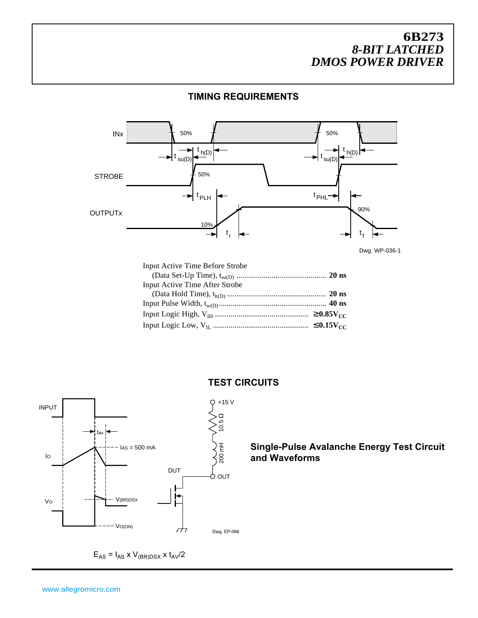#### **TIMING REQUIREMENTS**



Dwg. WP-036-1

| <b>Input Active Time Before Strobe</b> |  |
|----------------------------------------|--|
|                                        |  |
| Input Active Time After Strobe         |  |
|                                        |  |
|                                        |  |
|                                        |  |
|                                        |  |
|                                        |  |



 $E_{AS} = I_{AS}$  x  $V_{(BR)DSX}$  x  $t_{AV}/2$ 

#### **TEST CIRCUITS**

**Single-Pulse Avalanche Energy Test Circuit and Waveforms**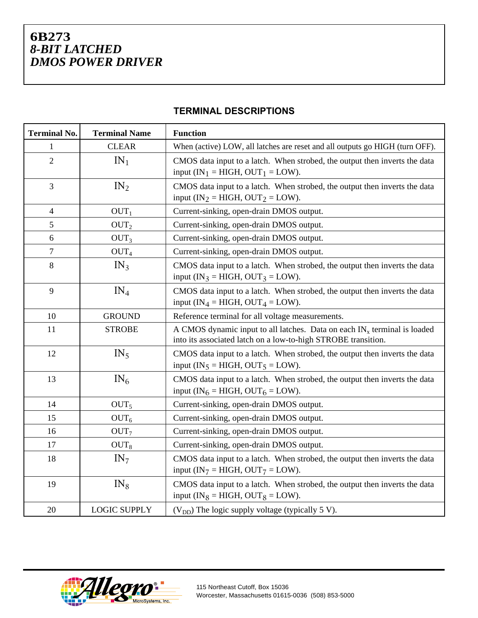|  | <b>TERMINAL DESCRIPTIONS</b> |
|--|------------------------------|
|--|------------------------------|

| <b>Terminal No.</b> | <b>Terminal Name</b> | <b>Function</b>                                                                                                                              |
|---------------------|----------------------|----------------------------------------------------------------------------------------------------------------------------------------------|
| 1                   | <b>CLEAR</b>         | When (active) LOW, all latches are reset and all outputs go HIGH (turn OFF).                                                                 |
| $\overline{2}$      | $IN_1$               | CMOS data input to a latch. When strobed, the output then inverts the data<br>input (IN <sub>1</sub> = HIGH, OUT <sub>1</sub> = LOW).        |
| 3                   | IN <sub>2</sub>      | CMOS data input to a latch. When strobed, the output then inverts the data<br>input (IN <sub>2</sub> = HIGH, OUT <sub>2</sub> = LOW).        |
| 4                   | OUT <sub>1</sub>     | Current-sinking, open-drain DMOS output.                                                                                                     |
| 5                   | OUT <sub>2</sub>     | Current-sinking, open-drain DMOS output.                                                                                                     |
| 6                   | OUT <sub>3</sub>     | Current-sinking, open-drain DMOS output.                                                                                                     |
| 7                   | OUT <sub>4</sub>     | Current-sinking, open-drain DMOS output.                                                                                                     |
| 8                   | IN <sub>3</sub>      | CMOS data input to a latch. When strobed, the output then inverts the data<br>input (IN <sub>3</sub> = HIGH, OUT <sub>3</sub> = LOW).        |
| 9                   | $IN_4$               | CMOS data input to a latch. When strobed, the output then inverts the data<br>input (IN <sub>4</sub> = HIGH, OUT <sub>4</sub> = LOW).        |
| 10                  | <b>GROUND</b>        | Reference terminal for all voltage measurements.                                                                                             |
| 11                  | <b>STROBE</b>        | A CMOS dynamic input to all latches. Data on each $IN_x$ terminal is loaded<br>into its associated latch on a low-to-high STROBE transition. |
| 12                  | IN <sub>5</sub>      | CMOS data input to a latch. When strobed, the output then inverts the data<br>input (IN <sub>5</sub> = HIGH, OUT <sub>5</sub> = LOW).        |
| 13                  | IN <sub>6</sub>      | CMOS data input to a latch. When strobed, the output then inverts the data<br>input (IN <sub>6</sub> = HIGH, OUT <sub>6</sub> = LOW).        |
| 14                  | OUT <sub>5</sub>     | Current-sinking, open-drain DMOS output.                                                                                                     |
| 15                  | OUT <sub>6</sub>     | Current-sinking, open-drain DMOS output.                                                                                                     |
| 16                  | OUT <sub>7</sub>     | Current-sinking, open-drain DMOS output.                                                                                                     |
| 17                  | OUT <sub>8</sub>     | Current-sinking, open-drain DMOS output.                                                                                                     |
| 18                  | IN <sub>7</sub>      | CMOS data input to a latch. When strobed, the output then inverts the data<br>input (IN <sub>7</sub> = HIGH, OUT <sub>7</sub> = LOW).        |
| 19                  | $IN_8$               | CMOS data input to a latch. When strobed, the output then inverts the data<br>input (IN <sub>8</sub> = HIGH, OUT <sub>8</sub> = LOW).        |
| 20                  | <b>LOGIC SUPPLY</b>  | $(V_{DD})$ The logic supply voltage (typically 5 V).                                                                                         |



115 Northeast Cutoff, Box 15036 Worcester, Massachusetts 01615-0036 (508) 853-5000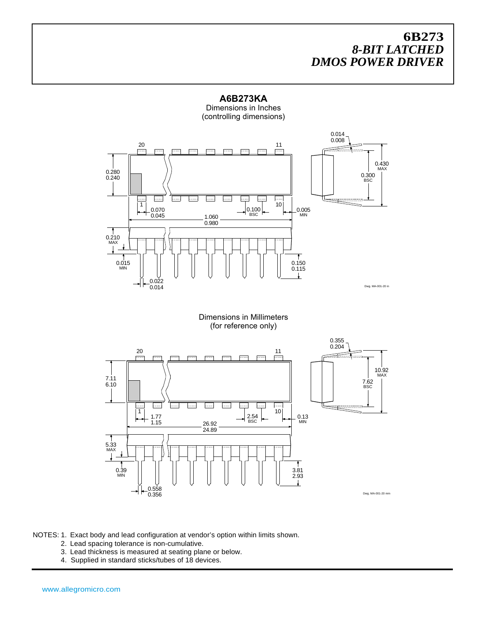

**A6B273KA** Dimensions in Inches

NOTES: 1. Exact body and lead configuration at vendor's option within limits shown.

- 2. Lead spacing tolerance is non-cumulative.
- 3. Lead thickness is measured at seating plane or below.
- 4. Supplied in standard sticks/tubes of 18 devices.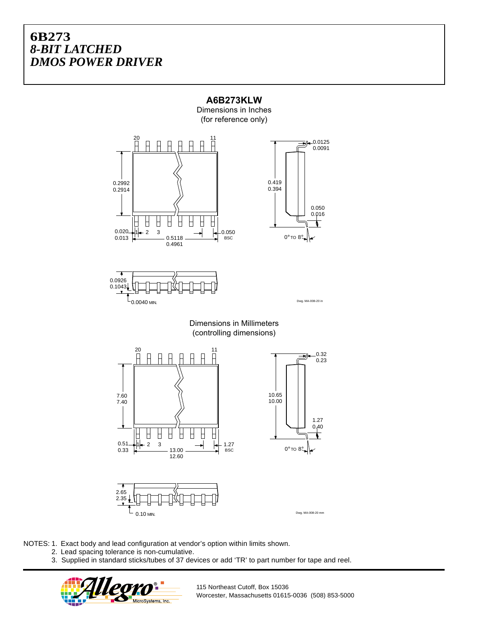

**A6B273KLW** Dimensions in Inches

NOTES: 1. Exact body and lead configuration at vendor's option within limits shown.

- 2. Lead spacing tolerance is non-cumulative.
	- 3. Supplied in standard sticks/tubes of 37 devices or add 'TR' to part number for tape and reel.



115 Northeast Cutoff, Box 15036 Worcester, Massachusetts 01615-0036 (508) 853-5000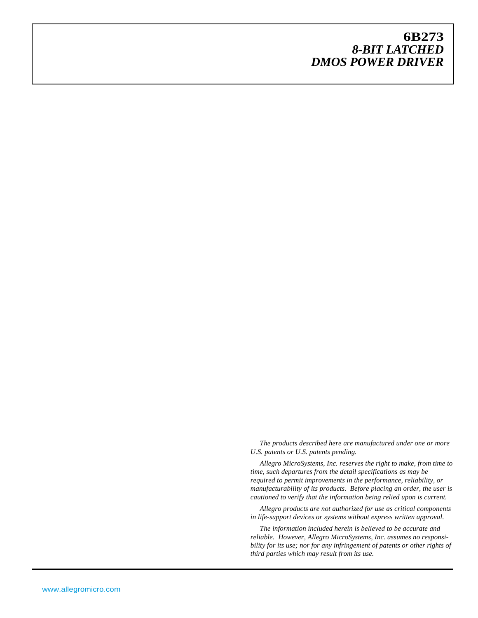*The products described here are manufactured under one or more U.S. patents or U.S. patents pending.*

*Allegro MicroSystems, Inc. reserves the right to make, from time to time, such departures from the detail specifications as may be required to permit improvements in the performance, reliability, or manufacturability of its products. Before placing an order, the user is cautioned to verify that the information being relied upon is current.*

*Allegro products are not authorized for use as critical components in life-support devices or systems without express written approval.*

*The information included herein is believed to be accurate and reliable. However, Allegro MicroSystems, Inc. assumes no responsibility for its use; nor for any infringement of patents or other rights of third parties which may result from its use.*